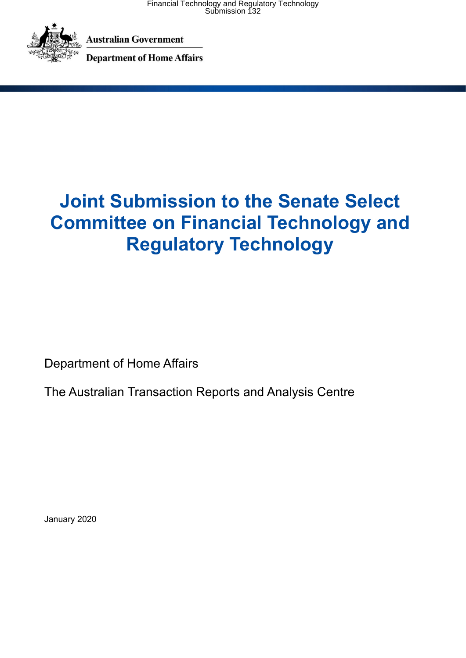

**Australian Government** 

**Department of Home Affairs** 

# **Joint Submission to the Senate Select Committee on Financial Technology and Regulatory Technology**

Department of Home Affairs

The Australian Transaction Reports and Analysis Centre

January 2020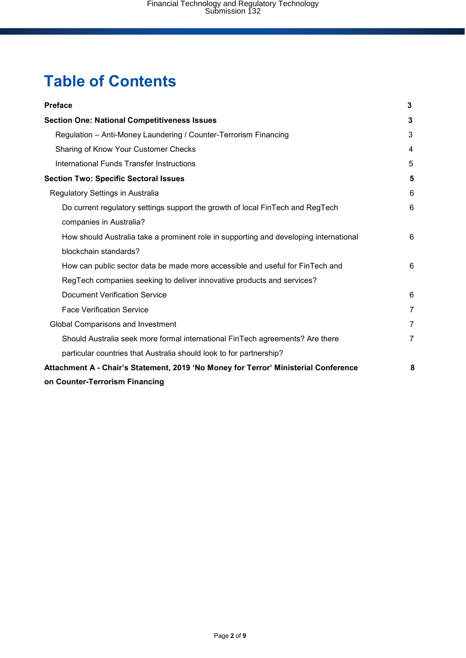# **Table of Contents**

| <b>Preface</b>                                                                        | 3              |
|---------------------------------------------------------------------------------------|----------------|
| <b>Section One: National Competitiveness Issues</b>                                   | 3              |
| Regulation - Anti-Money Laundering / Counter-Terrorism Financing                      | 3              |
| Sharing of Know Your Customer Checks                                                  | 4              |
| International Funds Transfer Instructions                                             | 5              |
| <b>Section Two: Specific Sectoral Issues</b>                                          | 5              |
| Regulatory Settings in Australia                                                      | 6              |
| Do current regulatory settings support the growth of local FinTech and RegTech        | 6              |
| companies in Australia?                                                               |                |
| How should Australia take a prominent role in supporting and developing international | 6              |
| blockchain standards?                                                                 |                |
| How can public sector data be made more accessible and useful for FinTech and         | 6              |
| RegTech companies seeking to deliver innovative products and services?                |                |
| <b>Document Verification Service</b>                                                  | 6              |
| <b>Face Verification Service</b>                                                      | $\overline{7}$ |
| Global Comparisons and Investment                                                     | $\overline{7}$ |
| Should Australia seek more formal international FinTech agreements? Are there         | $\overline{7}$ |
| particular countries that Australia should look to for partnership?                   |                |
| Attachment A - Chair's Statement, 2019 'No Money for Terror' Ministerial Conference   | 8              |
| on Counter-Terrorism Financing                                                        |                |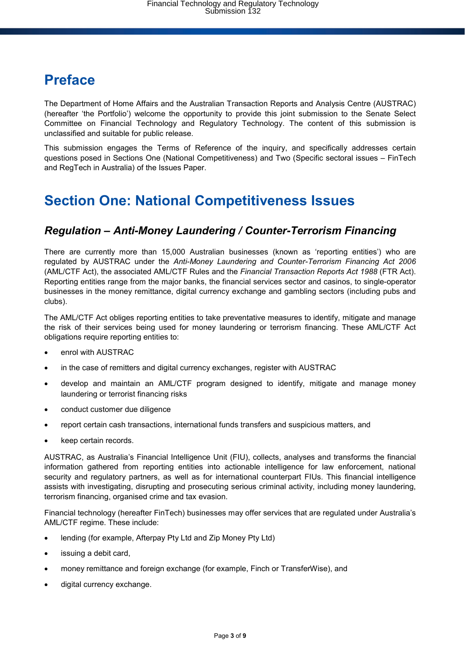# **Preface**

The Department of Home Affairs and the Australian Transaction Reports and Analysis Centre (AUSTRAC) (hereafter 'the Portfolio') welcome the opportunity to provide this joint submission to the Senate Select Committee on Financial Technology and Regulatory Technology. The content of this submission is unclassified and suitable for public release.

This submission engages the Terms of Reference of the inquiry, and specifically addresses certain questions posed in Sections One (National Competitiveness) and Two (Specific sectoral issues – FinTech and RegTech in Australia) of the Issues Paper.

# **Section One: National Competitiveness Issues**

## *Regulation – Anti-Money Laundering / Counter-Terrorism Financing*

There are currently more than 15,000 Australian businesses (known as 'reporting entities') who are regulated by AUSTRAC under the *Anti-Money Laundering and Counter-Terrorism Financing Act 2006* (AML/CTF Act), the associated AML/CTF Rules and the *Financial Transaction Reports Act 1988* (FTR Act). Reporting entities range from the major banks, the financial services sector and casinos, to single-operator businesses in the money remittance, digital currency exchange and gambling sectors (including pubs and clubs).

The AML/CTF Act obliges reporting entities to take preventative measures to identify, mitigate and manage the risk of their services being used for money laundering or terrorism financing. These AML/CTF Act obligations require reporting entities to:

- enrol with AUSTRAC
- in the case of remitters and digital currency exchanges, register with AUSTRAC
- develop and maintain an AML/CTF program designed to identify, mitigate and manage money laundering or terrorist financing risks
- conduct customer due diligence
- report certain cash transactions, international funds transfers and suspicious matters, and
- keep certain records.

AUSTRAC, as Australia's Financial Intelligence Unit (FIU), collects, analyses and transforms the financial information gathered from reporting entities into actionable intelligence for law enforcement, national security and regulatory partners, as well as for international counterpart FIUs. This financial intelligence assists with investigating, disrupting and prosecuting serious criminal activity, including money laundering, terrorism financing, organised crime and tax evasion.

Financial technology (hereafter FinTech) businesses may offer services that are regulated under Australia's AML/CTF regime. These include:

- lending (for example, Afterpay Pty Ltd and Zip Money Pty Ltd)
- issuing a debit card,
- money remittance and foreign exchange (for example, Finch or TransferWise), and
- digital currency exchange.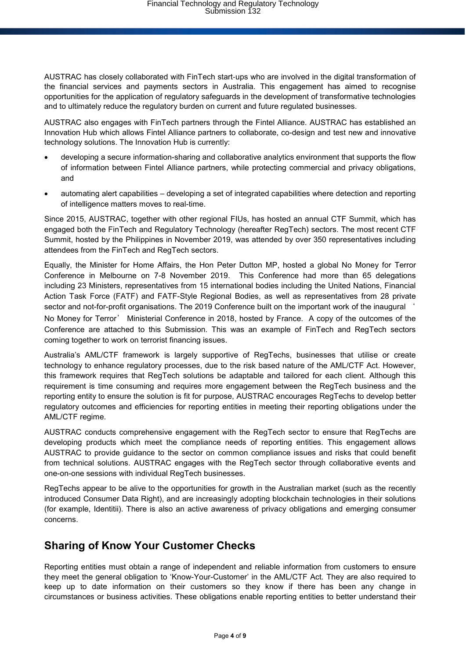AUSTRAC has closely collaborated with FinTech start-ups who are involved in the digital transformation of the financial services and payments sectors in Australia. This engagement has aimed to recognise opportunities for the application of regulatory safeguards in the development of transformative technologies and to ultimately reduce the regulatory burden on current and future regulated businesses.

AUSTRAC also engages with FinTech partners through the Fintel Alliance. AUSTRAC has established an Innovation Hub which allows Fintel Alliance partners to collaborate, co-design and test new and innovative technology solutions. The Innovation Hub is currently:

- developing a secure information-sharing and collaborative analytics environment that supports the flow of information between Fintel Alliance partners, while protecting commercial and privacy obligations, and
- automating alert capabilities developing a set of integrated capabilities where detection and reporting of intelligence matters moves to real-time.

Since 2015, AUSTRAC, together with other regional FIUs, has hosted an annual CTF Summit, which has engaged both the FinTech and Regulatory Technology (hereafter RegTech) sectors. The most recent CTF Summit, hosted by the Philippines in November 2019, was attended by over 350 representatives including attendees from the FinTech and RegTech sectors.

Equally, the Minister for Home Affairs, the Hon Peter Dutton MP, hosted a global No Money for Terror Conference in Melbourne on 7-8 November 2019. This Conference had more than 65 delegations including 23 Ministers, representatives from 15 international bodies including the United Nations, Financial Action Task Force (FATF) and FATF-Style Regional Bodies, as well as representatives from 28 private sector and not-for-profit organisations. The 2019 Conference built on the important work of the inaugural '

No Money for Terror' Ministerial Conference in 2018, hosted by France. A copy of the outcomes of the Conference are attached to this Submission. This was an example of FinTech and RegTech sectors coming together to work on terrorist financing issues.

Australia's AML/CTF framework is largely supportive of RegTechs, businesses that utilise or create technology to enhance regulatory processes, due to the risk based nature of the AML/CTF Act. However, this framework requires that RegTech solutions be adaptable and tailored for each client. Although this requirement is time consuming and requires more engagement between the RegTech business and the reporting entity to ensure the solution is fit for purpose, AUSTRAC encourages RegTechs to develop better regulatory outcomes and efficiencies for reporting entities in meeting their reporting obligations under the AML/CTF regime.

AUSTRAC conducts comprehensive engagement with the RegTech sector to ensure that RegTechs are developing products which meet the compliance needs of reporting entities. This engagement allows AUSTRAC to provide guidance to the sector on common compliance issues and risks that could benefit from technical solutions. AUSTRAC engages with the RegTech sector through collaborative events and one-on-one sessions with individual RegTech businesses.

RegTechs appear to be alive to the opportunities for growth in the Australian market (such as the recently introduced Consumer Data Right), and are increasingly adopting blockchain technologies in their solutions (for example, Identitii). There is also an active awareness of privacy obligations and emerging consumer concerns.

## **Sharing of Know Your Customer Checks**

Reporting entities must obtain a range of independent and reliable information from customers to ensure they meet the general obligation to 'Know-Your-Customer' in the AML/CTF Act. They are also required to keep up to date information on their customers so they know if there has been any change in circumstances or business activities. These obligations enable reporting entities to better understand their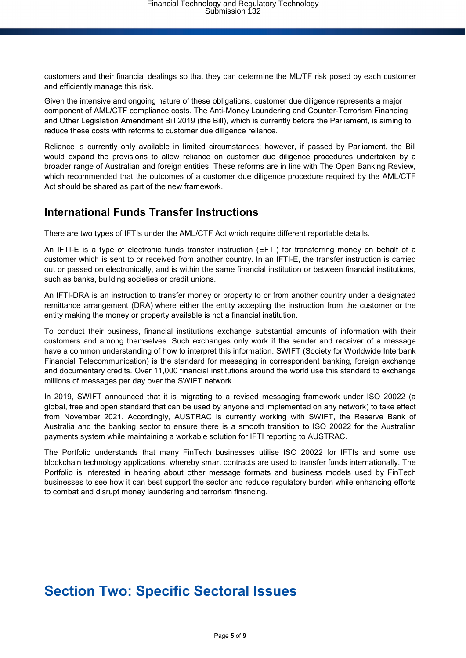customers and their financial dealings so that they can determine the ML/TF risk posed by each customer and efficiently manage this risk.

Given the intensive and ongoing nature of these obligations, customer due diligence represents a major component of AML/CTF compliance costs. The Anti-Money Laundering and Counter-Terrorism Financing and Other Legislation Amendment Bill 2019 (the Bill), which is currently before the Parliament, is aiming to reduce these costs with reforms to customer due diligence reliance.

Reliance is currently only available in limited circumstances; however, if passed by Parliament, the Bill would expand the provisions to allow reliance on customer due diligence procedures undertaken by a broader range of Australian and foreign entities. These reforms are in line with The Open Banking Review, which recommended that the outcomes of a customer due diligence procedure required by the AML/CTF Act should be shared as part of the new framework.

### **International Funds Transfer Instructions**

There are two types of IFTIs under the AML/CTF Act which require different reportable details.

An IFTI-E is a type of electronic funds transfer instruction (EFTI) for transferring money on behalf of a customer which is sent to or received from another country. In an IFTI-E, the transfer instruction is carried out or passed on electronically, and is within the same financial institution or between financial institutions, such as banks, building societies or credit unions.

An IFTI-DRA is an instruction to transfer money or property to or from another country under a designated remittance arrangement (DRA) where either the entity accepting the instruction from the customer or the entity making the money or property available is not a financial institution.

To conduct their business, financial institutions exchange substantial amounts of information with their customers and among themselves. Such exchanges only work if the sender and receiver of a message have a common understanding of how to interpret this information. SWIFT (Society for Worldwide Interbank Financial Telecommunication) is the standard for messaging in correspondent banking, foreign exchange and documentary credits. Over 11,000 financial institutions around the world use this standard to exchange millions of messages per day over the SWIFT network.

In 2019, SWIFT announced that it is migrating to a revised messaging framework under ISO 20022 (a global, free and open standard that can be used by anyone and implemented on any network) to take effect from November 2021. Accordingly, AUSTRAC is currently working with SWIFT, the Reserve Bank of Australia and the banking sector to ensure there is a smooth transition to ISO 20022 for the Australian payments system while maintaining a workable solution for IFTI reporting to AUSTRAC.

The Portfolio understands that many FinTech businesses utilise ISO 20022 for IFTIs and some use blockchain technology applications, whereby smart contracts are used to transfer funds internationally. The Portfolio is interested in hearing about other message formats and business models used by FinTech businesses to see how it can best support the sector and reduce regulatory burden while enhancing efforts to combat and disrupt money laundering and terrorism financing.

# **Section Two: Specific Sectoral Issues**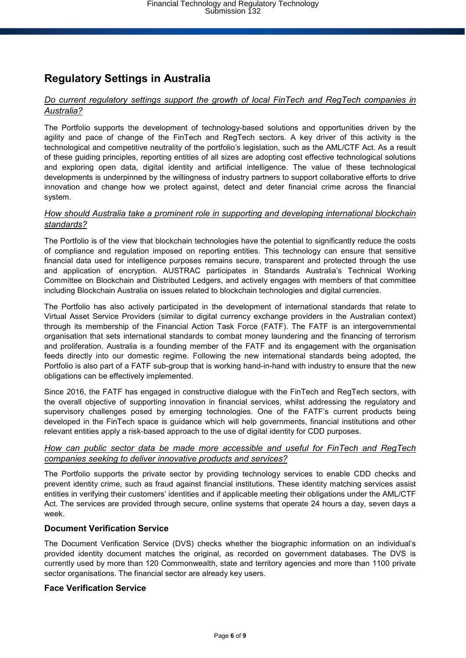## **Regulatory Settings in Australia**

#### *Do current regulatory settings support the growth of local FinTech and RegTech companies in Australia?*

The Portfolio supports the development of technology-based solutions and opportunities driven by the agility and pace of change of the FinTech and RegTech sectors. A key driver of this activity is the technological and competitive neutrality of the portfolio's legislation, such as the AML/CTF Act. As a result of these guiding principles, reporting entities of all sizes are adopting cost effective technological solutions and exploring open data, digital identity and artificial intelligence. The value of these technological developments is underpinned by the willingness of industry partners to support collaborative efforts to drive innovation and change how we protect against, detect and deter financial crime across the financial system.

#### *How should Australia take a prominent role in supporting and developing international blockchain standards?*

The Portfolio is of the view that blockchain technologies have the potential to significantly reduce the costs of compliance and regulation imposed on reporting entities. This technology can ensure that sensitive financial data used for intelligence purposes remains secure, transparent and protected through the use and application of encryption. AUSTRAC participates in Standards Australia's Technical Working Committee on Blockchain and Distributed Ledgers, and actively engages with members of that committee including Blockchain Australia on issues related to blockchain technologies and digital currencies.

The Portfolio has also actively participated in the development of international standards that relate to Virtual Asset Service Providers (similar to digital currency exchange providers in the Australian context) through its membership of the Financial Action Task Force (FATF). The FATF is an intergovernmental organisation that sets international standards to combat money laundering and the financing of terrorism and proliferation. Australia is a founding member of the FATF and its engagement with the organisation feeds directly into our domestic regime. Following the new international standards being adopted, the Portfolio is also part of a FATF sub-group that is working hand-in-hand with industry to ensure that the new obligations can be effectively implemented.

Since 2016, the FATF has engaged in constructive dialogue with the FinTech and RegTech sectors, with the overall objective of supporting innovation in financial services, whilst addressing the regulatory and supervisory challenges posed by emerging technologies. One of the FATF's current products being developed in the FinTech space is guidance which will help governments, financial institutions and other relevant entities apply a risk-based approach to the use of digital identity for CDD purposes.

#### *How can public sector data be made more accessible and useful for FinTech and RegTech companies seeking to deliver innovative products and services?*

The Portfolio supports the private sector by providing technology services to enable CDD checks and prevent identity crime, such as fraud against financial institutions. These identity matching services assist entities in verifying their customers' identities and if applicable meeting their obligations under the AML/CTF Act. The services are provided through secure, online systems that operate 24 hours a day, seven days a week.

#### **Document Verification Service**

The Document Verification Service (DVS) checks whether the biographic information on an individual's provided identity document matches the original, as recorded on government databases. The DVS is currently used by more than 120 Commonwealth, state and territory agencies and more than 1100 private sector organisations. The financial sector are already key users.

#### **Face Verification Service**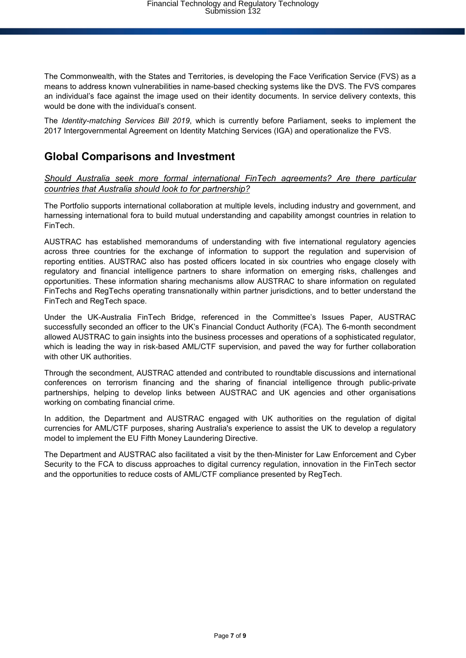The Commonwealth, with the States and Territories, is developing the Face Verification Service (FVS) as a means to address known vulnerabilities in name-based checking systems like the DVS. The FVS compares an individual's face against the image used on their identity documents. In service delivery contexts, this would be done with the individual's consent.

The *Identity-matching Services Bill 2019*, which is currently before Parliament, seeks to implement the 2017 Intergovernmental Agreement on Identity Matching Services (IGA) and operationalize the FVS.

### **Global Comparisons and Investment**

#### *Should Australia seek more formal international FinTech agreements? Are there particular countries that Australia should look to for partnership?*

The Portfolio supports international collaboration at multiple levels, including industry and government, and harnessing international fora to build mutual understanding and capability amongst countries in relation to FinTech.

AUSTRAC has established memorandums of understanding with five international regulatory agencies across three countries for the exchange of information to support the regulation and supervision of reporting entities. AUSTRAC also has posted officers located in six countries who engage closely with regulatory and financial intelligence partners to share information on emerging risks, challenges and opportunities. These information sharing mechanisms allow AUSTRAC to share information on regulated FinTechs and RegTechs operating transnationally within partner jurisdictions, and to better understand the FinTech and RegTech space.

Under the UK-Australia FinTech Bridge, referenced in the Committee's Issues Paper, AUSTRAC successfully seconded an officer to the UK's Financial Conduct Authority (FCA). The 6-month secondment allowed AUSTRAC to gain insights into the business processes and operations of a sophisticated regulator, which is leading the way in risk-based AML/CTF supervision, and paved the way for further collaboration with other UK authorities.

Through the secondment, AUSTRAC attended and contributed to roundtable discussions and international conferences on terrorism financing and the sharing of financial intelligence through public-private partnerships, helping to develop links between AUSTRAC and UK agencies and other organisations working on combating financial crime.

In addition, the Department and AUSTRAC engaged with UK authorities on the regulation of digital currencies for AML/CTF purposes, sharing Australia's experience to assist the UK to develop a regulatory model to implement the EU Fifth Money Laundering Directive.

The Department and AUSTRAC also facilitated a visit by the then-Minister for Law Enforcement and Cyber Security to the FCA to discuss approaches to digital currency regulation, innovation in the FinTech sector and the opportunities to reduce costs of AML/CTF compliance presented by RegTech.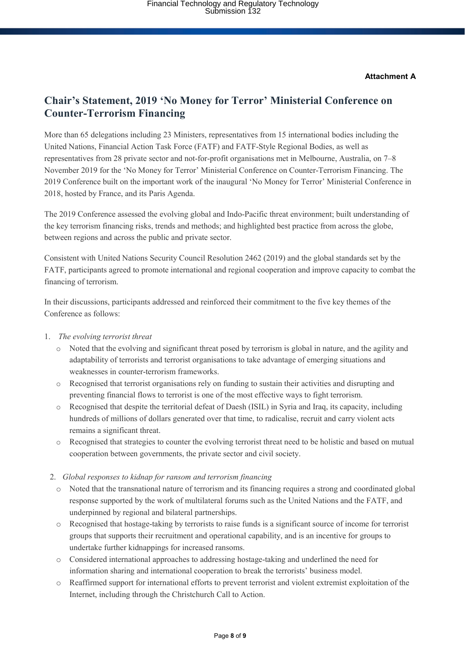#### **Attachment A**

### **Chair's Statement, 2019 'No Money for Terror' Ministerial Conference on Counter-Terrorism Financing**

More than 65 delegations including 23 Ministers, representatives from 15 international bodies including the United Nations, Financial Action Task Force (FATF) and FATF-Style Regional Bodies, as well as representatives from 28 private sector and not-for-profit organisations met in Melbourne, Australia, on 7–8 November 2019 for the 'No Money for Terror' Ministerial Conference on Counter-Terrorism Financing. The 2019 Conference built on the important work of the inaugural 'No Money for Terror' Ministerial Conference in 2018, hosted by France, and its Paris Agenda.

The 2019 Conference assessed the evolving global and Indo-Pacific threat environment; built understanding of the key terrorism financing risks, trends and methods; and highlighted best practice from across the globe, between regions and across the public and private sector.

Consistent with United Nations Security Council Resolution 2462 (2019) and the global standards set by the FATF, participants agreed to promote international and regional cooperation and improve capacity to combat the financing of terrorism.

In their discussions, participants addressed and reinforced their commitment to the five key themes of the Conference as follows:

- 1. *The evolving terrorist threat*
	- o Noted that the evolving and significant threat posed by terrorism is global in nature, and the agility and adaptability of terrorists and terrorist organisations to take advantage of emerging situations and weaknesses in counter-terrorism frameworks.
	- o Recognised that terrorist organisations rely on funding to sustain their activities and disrupting and preventing financial flows to terrorist is one of the most effective ways to fight terrorism.
	- o Recognised that despite the territorial defeat of Daesh (ISIL) in Syria and Iraq, its capacity, including hundreds of millions of dollars generated over that time, to radicalise, recruit and carry violent acts remains a significant threat.
	- o Recognised that strategies to counter the evolving terrorist threat need to be holistic and based on mutual cooperation between governments, the private sector and civil society.
	- 2. *Global responses to kidnap for ransom and terrorism financing*
		- Noted that the transnational nature of terrorism and its financing requires a strong and coordinated global response supported by the work of multilateral forums such as the United Nations and the FATF, and underpinned by regional and bilateral partnerships.
		- o Recognised that hostage-taking by terrorists to raise funds is a significant source of income for terrorist groups that supports their recruitment and operational capability, and is an incentive for groups to undertake further kidnappings for increased ransoms.
		- o Considered international approaches to addressing hostage-taking and underlined the need for information sharing and international cooperation to break the terrorists' business model.
		- o Reaffirmed support for international efforts to prevent terrorist and violent extremist exploitation of the Internet, including through the Christchurch Call to Action.